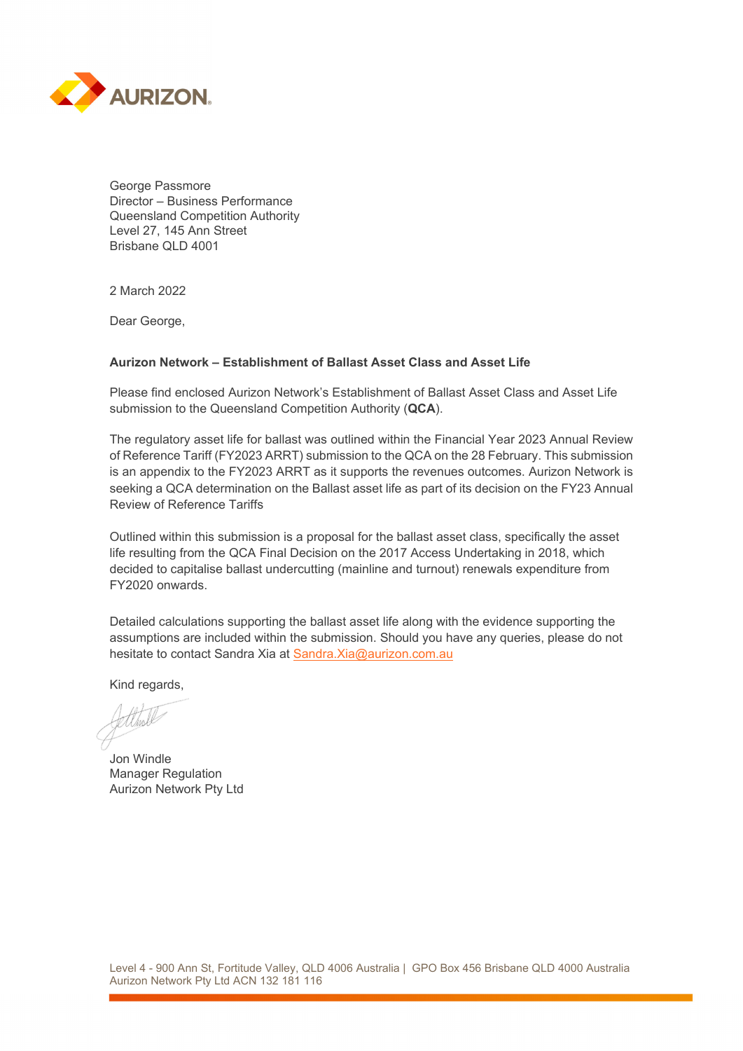

George Passmore Director – Business Performance Queensland Competition Authority Level 27, 145 Ann Street Brisbane QLD 4001

2 March 2022

Dear George,

# **Aurizon Network – Establishment of Ballast Asset Class and Asset Life**

Please find enclosed Aurizon Network's Establishment of Ballast Asset Class and Asset Life submission to the Queensland Competition Authority (**QCA**).

The regulatory asset life for ballast was outlined within the Financial Year 2023 Annual Review of Reference Tariff (FY2023 ARRT) submission to the QCA on the 28 February. This submission is an appendix to the FY2023 ARRT as it supports the revenues outcomes. Aurizon Network is seeking a QCA determination on the Ballast asset life as part of its decision on the FY23 Annual Review of Reference Tariffs

Outlined within this submission is a proposal for the ballast asset class, specifically the asset life resulting from the QCA Final Decision on the 2017 Access Undertaking in 2018, which decided to capitalise ballast undercutting (mainline and turnout) renewals expenditure from FY2020 onwards.

Detailed calculations supporting the ballast asset life along with the evidence supporting the assumptions are included within the submission. Should you have any queries, please do not hesitate to contact Sandra Xia at Sandra.Xia@aurizon.com.au

Kind regards,

Jon Windle Manager Regulation Aurizon Network Pty Ltd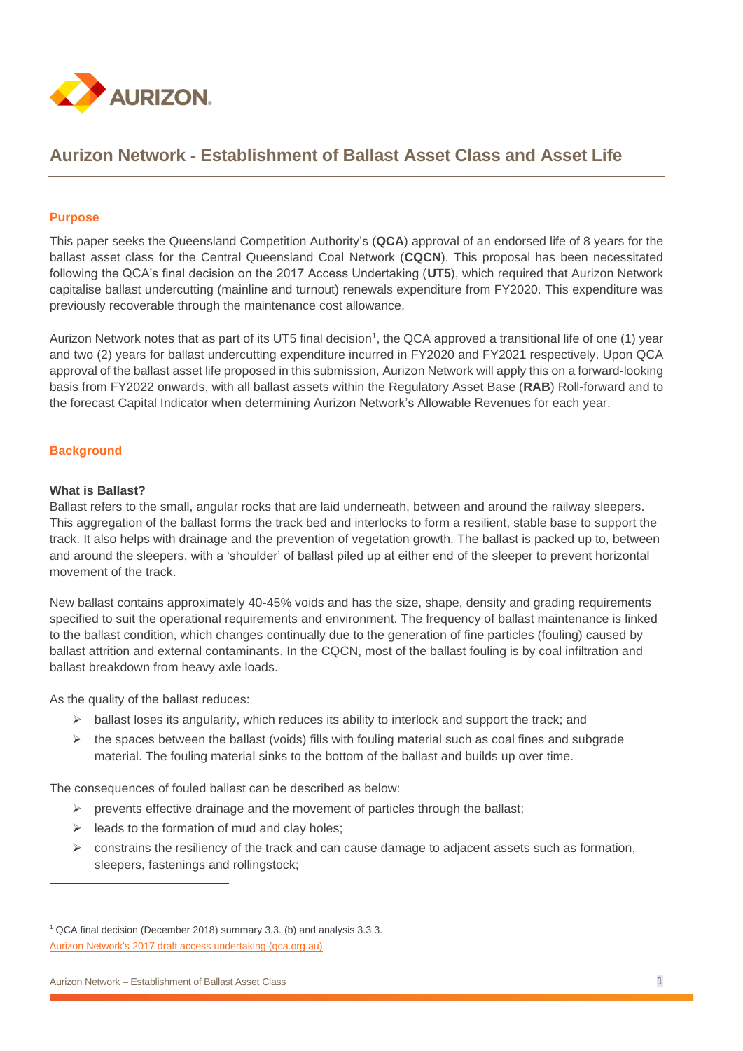

# **Aurizon Network - Establishment of Ballast Asset Class and Asset Life**

## **Purpose**

This paper seeks the Queensland Competition Authority's (**QCA**) approval of an endorsed life of 8 years for the ballast asset class for the Central Queensland Coal Network (**CQCN**). This proposal has been necessitated following the QCA's final decision on the 2017 Access Undertaking (**UT5**), which required that Aurizon Network capitalise ballast undercutting (mainline and turnout) renewals expenditure from FY2020. This expenditure was previously recoverable through the maintenance cost allowance.

Aurizon Network notes that as part of its UT5 final decision<sup>1</sup>, the QCA approved a transitional life of one (1) year and two (2) years for ballast undercutting expenditure incurred in FY2020 and FY2021 respectively. Upon QCA approval of the ballast asset life proposed in this submission, Aurizon Network will apply this on a forward-looking basis from FY2022 onwards, with all ballast assets within the Regulatory Asset Base (**RAB**) Roll-forward and to the forecast Capital Indicator when determining Aurizon Network's Allowable Revenues for each year.

## **Background**

#### **What is Ballast?**

Ballast refers to the small, angular rocks that are laid underneath, between and around the railway sleepers. This aggregation of the ballast forms the track bed and interlocks to form a resilient, stable base to support the track. It also helps with drainage and the prevention of [vegetation](https://www.networkrail.co.uk/communities/environment/vegetation-management/) growth. The ballast is packed up to, between and around the [sleepers,](https://www.networkrail.co.uk/track) with a 'shoulder' of ballast piled up at either end of the sleeper to prevent horizontal movement of the track.

New ballast contains approximately 40-45% voids and has the size, shape, density and grading requirements specified to suit the operational requirements and environment. The frequency of ballast maintenance is linked to the ballast condition, which changes continually due to the generation of fine particles (fouling) caused by ballast attrition and external contaminants. In the CQCN, most of the ballast fouling is by coal infiltration and ballast breakdown from heavy axle loads.

As the quality of the ballast reduces:

- $\triangleright$  ballast loses its angularity, which reduces its ability to interlock and support the track; and
- $\triangleright$  the spaces between the ballast (voids) fills with fouling material such as coal fines and subgrade material. The fouling material sinks to the bottom of the ballast and builds up over time.

The consequences of fouled ballast can be described as below:

- $\triangleright$  prevents effective drainage and the movement of particles through the ballast;
- $\triangleright$  leads to the formation of mud and clay holes;
- ➢ constrains the resiliency of the track and can cause damage to adjacent assets such as formation, sleepers, fastenings and rollingstock;

<sup>1</sup> QCA final decision (December 2018) summary 3.3. (b) and analysis 3.3.3. [Aurizon Network's 2017 draft access undertaking \(qca.org.au\)](https://www.qca.org.au/wp-content/uploads/2019/05/34327_Final-decision-1.pdf)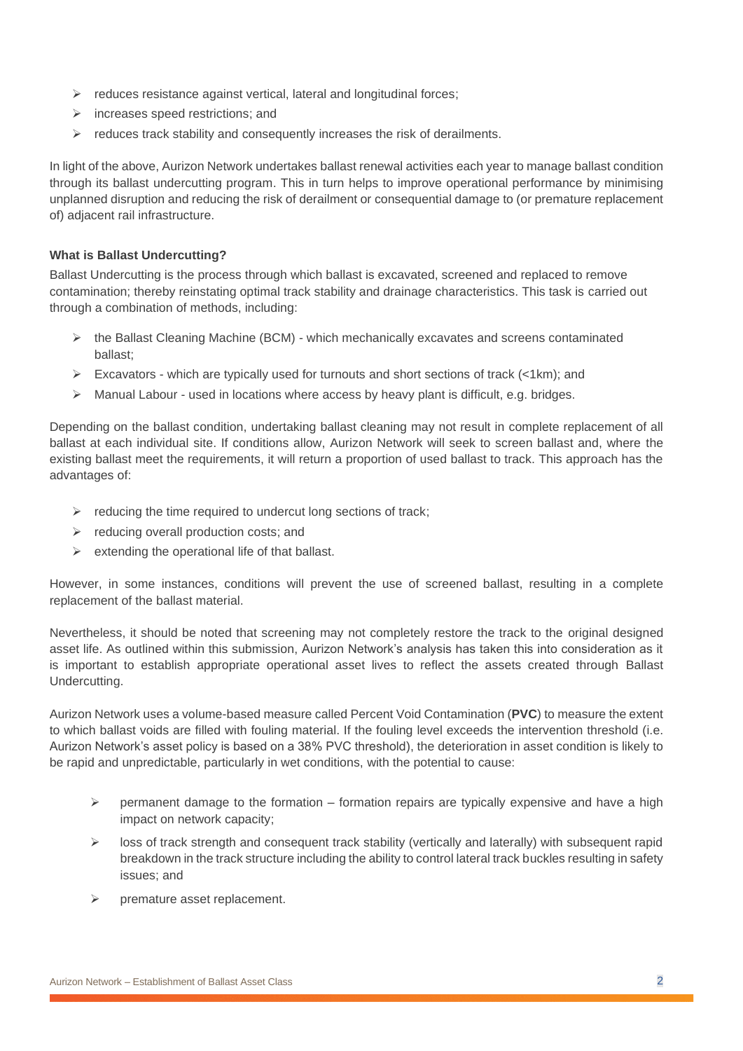- ➢ reduces resistance against vertical, lateral and longitudinal forces;
- ➢ increases speed restrictions; and
- $\triangleright$  reduces track stability and consequently increases the risk of derailments.

In light of the above, Aurizon Network undertakes ballast renewal activities each year to manage ballast condition through its ballast undercutting program. This in turn helps to improve operational performance by minimising unplanned disruption and reducing the risk of derailment or consequential damage to (or premature replacement of) adjacent rail infrastructure.

# **What is Ballast Undercutting?**

Ballast Undercutting is the process through which ballast is excavated, screened and replaced to remove contamination; thereby reinstating optimal track stability and drainage characteristics. This task is carried out through a combination of methods, including:

- $\triangleright$  the Ballast Cleaning Machine (BCM) which mechanically excavates and screens contaminated ballast;
- ➢ Excavators which are typically used for turnouts and short sections of track (<1km); and
- $\triangleright$  Manual Labour used in locations where access by heavy plant is difficult, e.g. bridges.

Depending on the ballast condition, undertaking ballast cleaning may not result in complete replacement of all ballast at each individual site. If conditions allow, Aurizon Network will seek to screen ballast and, where the existing ballast meet the requirements, it will return a proportion of used ballast to track. This approach has the advantages of:

- $\triangleright$  reducing the time required to undercut long sections of track;
- ➢ reducing overall production costs; and
- $\triangleright$  extending the operational life of that ballast.

However, in some instances, conditions will prevent the use of screened ballast, resulting in a complete replacement of the ballast material.

Nevertheless, it should be noted that screening may not completely restore the track to the original designed asset life. As outlined within this submission, Aurizon Network's analysis has taken this into consideration as it is important to establish appropriate operational asset lives to reflect the assets created through Ballast Undercutting.

Aurizon Network uses a volume-based measure called Percent Void Contamination (**PVC**) to measure the extent to which ballast voids are filled with fouling material. If the fouling level exceeds the intervention threshold (i.e. Aurizon Network's asset policy is based on a 38% PVC threshold), the deterioration in asset condition is likely to be rapid and unpredictable, particularly in wet conditions, with the potential to cause:

- $\triangleright$  permanent damage to the formation formation repairs are typically expensive and have a high impact on network capacity;
- $\triangleright$  loss of track strength and consequent track stability (vertically and laterally) with subsequent rapid breakdown in the track structure including the ability to control lateral track buckles resulting in safety issues; and
- premature asset replacement.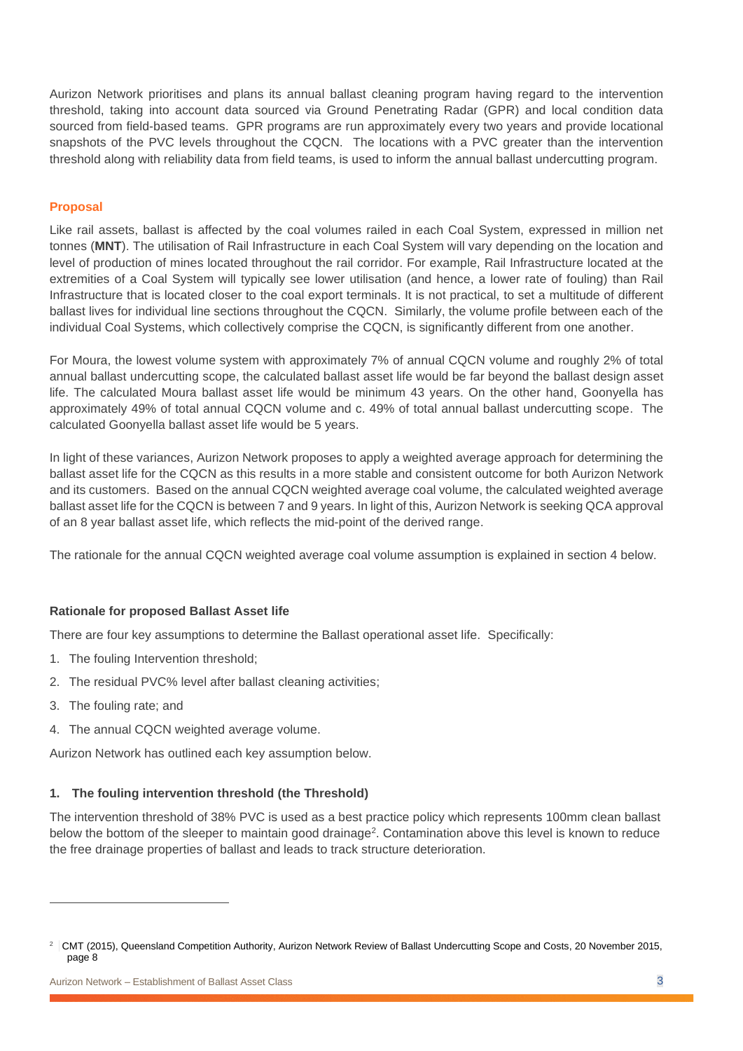Aurizon Network prioritises and plans its annual ballast cleaning program having regard to the intervention threshold, taking into account data sourced via Ground Penetrating Radar (GPR) and local condition data sourced from field-based teams. GPR programs are run approximately every two years and provide locational snapshots of the PVC levels throughout the CQCN. The locations with a PVC greater than the intervention threshold along with reliability data from field teams, is used to inform the annual ballast undercutting program.

## **Proposal**

Like rail assets, ballast is affected by the coal volumes railed in each Coal System, expressed in million net tonnes (**MNT**). The utilisation of Rail Infrastructure in each Coal System will vary depending on the location and level of production of mines located throughout the rail corridor. For example, Rail Infrastructure located at the extremities of a Coal System will typically see lower utilisation (and hence, a lower rate of fouling) than Rail Infrastructure that is located closer to the coal export terminals. It is not practical, to set a multitude of different ballast lives for individual line sections throughout the CQCN. Similarly, the volume profile between each of the individual Coal Systems, which collectively comprise the CQCN, is significantly different from one another.

For Moura, the lowest volume system with approximately 7% of annual CQCN volume and roughly 2% of total annual ballast undercutting scope, the calculated ballast asset life would be far beyond the ballast design asset life. The calculated Moura ballast asset life would be minimum 43 years. On the other hand, Goonyella has approximately 49% of total annual CQCN volume and c. 49% of total annual ballast undercutting scope. The calculated Goonyella ballast asset life would be 5 years.

In light of these variances, Aurizon Network proposes to apply a weighted average approach for determining the ballast asset life for the CQCN as this results in a more stable and consistent outcome for both Aurizon Network and its customers. Based on the annual CQCN weighted average coal volume, the calculated weighted average ballast asset life for the CQCN is between 7 and 9 years. In light of this, Aurizon Network is seeking QCA approval of an 8 year ballast asset life, which reflects the mid-point of the derived range.

The rationale for the annual CQCN weighted average coal volume assumption is explained in section 4 below.

#### **Rationale for proposed Ballast Asset life**

There are four key assumptions to determine the Ballast operational asset life. Specifically:

- 1. The fouling Intervention threshold;
- 2. The residual PVC% level after ballast cleaning activities;
- 3. The fouling rate; and
- 4. The annual CQCN weighted average volume.

Aurizon Network has outlined each key assumption below.

#### **1. The fouling intervention threshold (the Threshold)**

The intervention threshold of 38% PVC is used as a best practice policy which represents 100mm clean ballast below the bottom of the sleeper to maintain good drainage<sup>2</sup>. Contamination above this level is known to reduce the free drainage properties of ballast and leads to track structure deterioration.

<sup>&</sup>lt;sup>2</sup> CMT (2015), Queensland Competition Authority, Aurizon Network Review of Ballast Undercutting Scope and Costs, 20 November 2015, page 8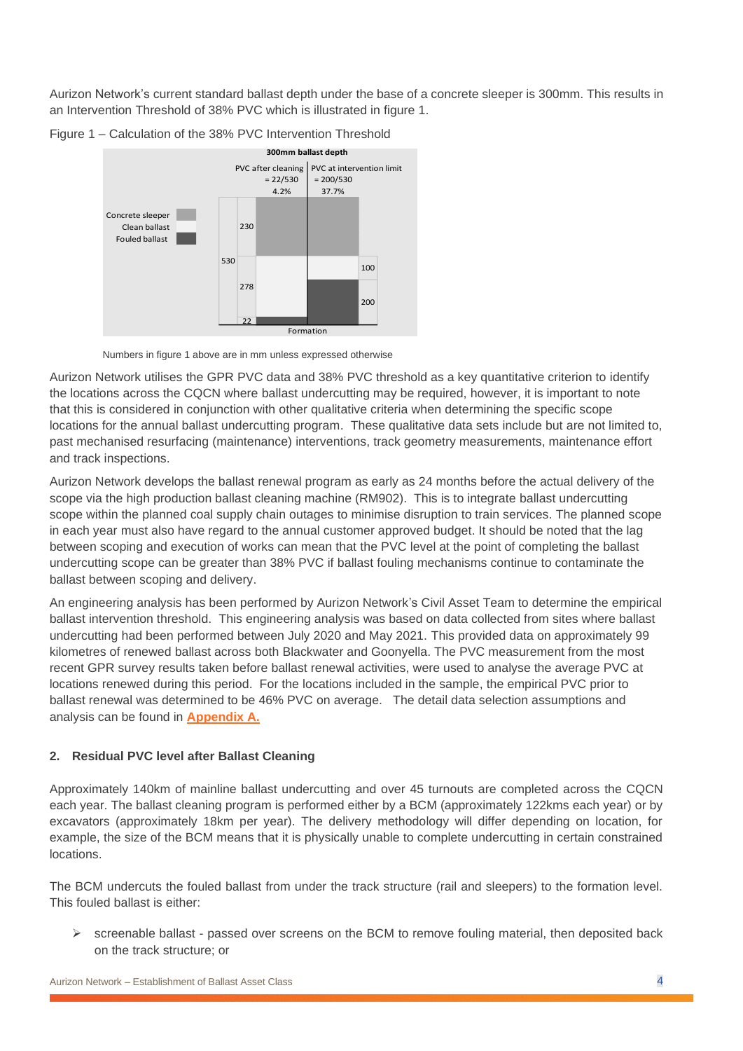Aurizon Network's current standard ballast depth under the base of a concrete sleeper is 300mm. This results in an Intervention Threshold of 38% PVC which is illustrated in figure 1.



Figure 1 – Calculation of the 38% PVC Intervention Threshold

Numbers in figure 1 above are in mm unless expressed otherwise

Aurizon Network utilises the GPR PVC data and 38% PVC threshold as a key quantitative criterion to identify the locations across the CQCN where ballast undercutting may be required, however, it is important to note that this is considered in conjunction with other qualitative criteria when determining the specific scope locations for the annual ballast undercutting program. These qualitative data sets include but are not limited to, past mechanised resurfacing (maintenance) interventions, track geometry measurements, maintenance effort and track inspections.

Aurizon Network develops the ballast renewal program as early as 24 months before the actual delivery of the scope via the high production ballast cleaning machine (RM902). This is to integrate ballast undercutting scope within the planned coal supply chain outages to minimise disruption to train services. The planned scope in each year must also have regard to the annual customer approved budget. It should be noted that the lag between scoping and execution of works can mean that the PVC level at the point of completing the ballast undercutting scope can be greater than 38% PVC if ballast fouling mechanisms continue to contaminate the ballast between scoping and delivery.

An engineering analysis has been performed by Aurizon Network's Civil Asset Team to determine the empirical ballast intervention threshold. This engineering analysis was based on data collected from sites where ballast undercutting had been performed between July 2020 and May 2021. This provided data on approximately 99 kilometres of renewed ballast across both Blackwater and Goonyella. The PVC measurement from the most recent GPR survey results taken before ballast renewal activities, were used to analyse the average PVC at locations renewed during this period. For the locations included in the sample, the empirical PVC prior to ballast renewal was determined to be 46% PVC on average. The detail data selection assumptions and analysis can be found in **[Appendix A](#page-9-0).**

# <span id="page-4-0"></span>**2. Residual PVC level after Ballast Cleaning**

Approximately 140km of mainline ballast undercutting and over 45 turnouts are completed across the CQCN each year. The ballast cleaning program is performed either by a BCM (approximately 122kms each year) or by excavators (approximately 18km per year). The delivery methodology will differ depending on location, for example, the size of the BCM means that it is physically unable to complete undercutting in certain constrained locations.

The BCM undercuts the fouled ballast from under the track structure (rail and sleepers) to the formation level. This fouled ballast is either:

 $\triangleright$  screenable ballast - passed over screens on the BCM to remove fouling material, then deposited back on the track structure; or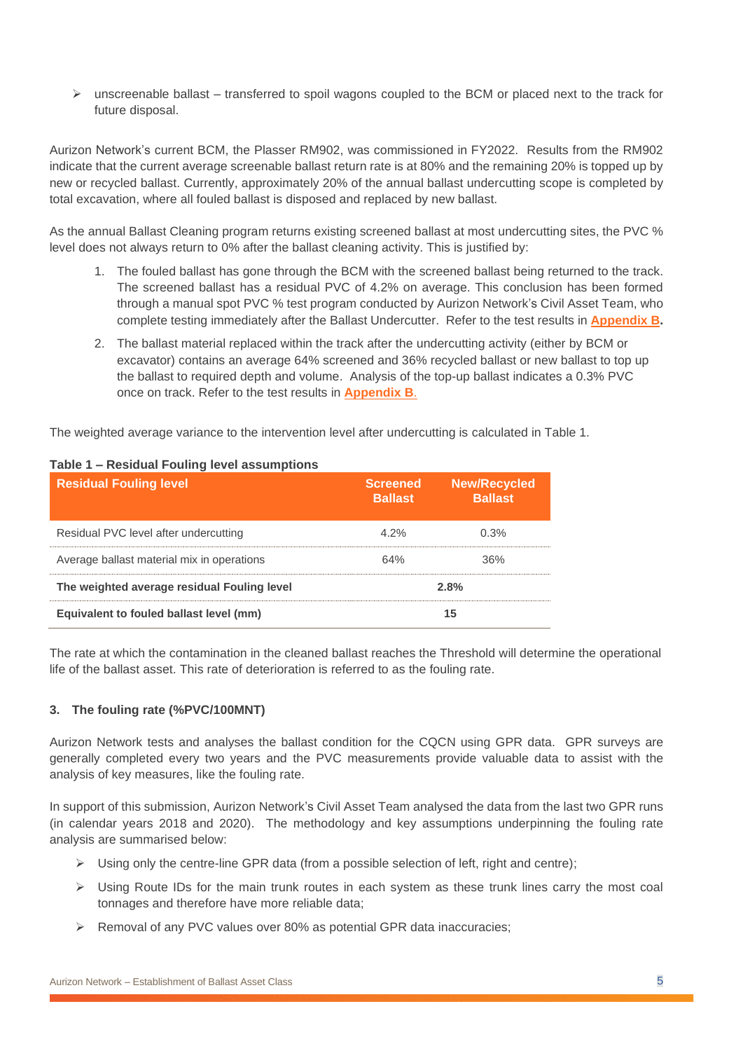$\triangleright$  unscreenable ballast – transferred to spoil wagons coupled to the BCM or placed next to the track for future disposal.

Aurizon Network's current BCM, the Plasser RM902, was commissioned in FY2022. Results from the RM902 indicate that the current average screenable ballast return rate is at 80% and the remaining 20% is topped up by new or recycled ballast. Currently, approximately 20% of the annual ballast undercutting scope is completed by total excavation, where all fouled ballast is disposed and replaced by new ballast.

As the annual Ballast Cleaning program returns existing screened ballast at most undercutting sites, the PVC % level does not always return to 0% after the ballast cleaning activity. This is justified by:

- 1. The fouled ballast has gone through the BCM with the screened ballast being returned to the track. The screened ballast has a residual PVC of 4.2% on average. This conclusion has been formed through a manual spot PVC % test program conducted by Aurizon Network's Civil Asset Team, who complete testing immediately after the Ballast Undercutter. Refer to the test results in **[Appendix B.](#page-9-1)**
- <span id="page-5-0"></span>2. The ballast material replaced within the track after the undercutting activity (either by BCM or excavator) contains an average 64% screened and 36% recycled ballast or new ballast to top up the ballast to required depth and volume. Analysis of the top-up ballast indicates a 0.3% PVC once on track. Refer to the test results in **[Appendix B](#page-9-1)**.

The weighted average variance to the intervention level after undercutting is calculated in Table 1.

| <b>Residual Fouling level</b>               | <b>Screened</b><br><b>Ballast</b> | <b>New/Recycled</b><br><b>Ballast</b> |
|---------------------------------------------|-----------------------------------|---------------------------------------|
| Residual PVC level after undercutting       | 4.2%                              | በ 3%                                  |
| Average ballast material mix in operations  | 64%                               | 36%                                   |
| The weighted average residual Fouling level | 2.8%                              |                                       |
| Equivalent to fouled ballast level (mm)     |                                   |                                       |

## **Table 1 – Residual Fouling level assumptions**

The rate at which the contamination in the cleaned ballast reaches the Threshold will determine the operational life of the ballast asset. This rate of deterioration is referred to as the fouling rate.

# **3. The fouling rate (%PVC/100MNT)**

Aurizon Network tests and analyses the ballast condition for the CQCN using GPR data. GPR surveys are generally completed every two years and the PVC measurements provide valuable data to assist with the analysis of key measures, like the fouling rate.

In support of this submission, Aurizon Network's Civil Asset Team analysed the data from the last two GPR runs (in calendar years 2018 and 2020). The methodology and key assumptions underpinning the fouling rate analysis are summarised below:

- $\triangleright$  Using only the centre-line GPR data (from a possible selection of left, right and centre);
- $\triangleright$  Using Route IDs for the main trunk routes in each system as these trunk lines carry the most coal tonnages and therefore have more reliable data;
- ➢ Removal of any PVC values over 80% as potential GPR data inaccuracies;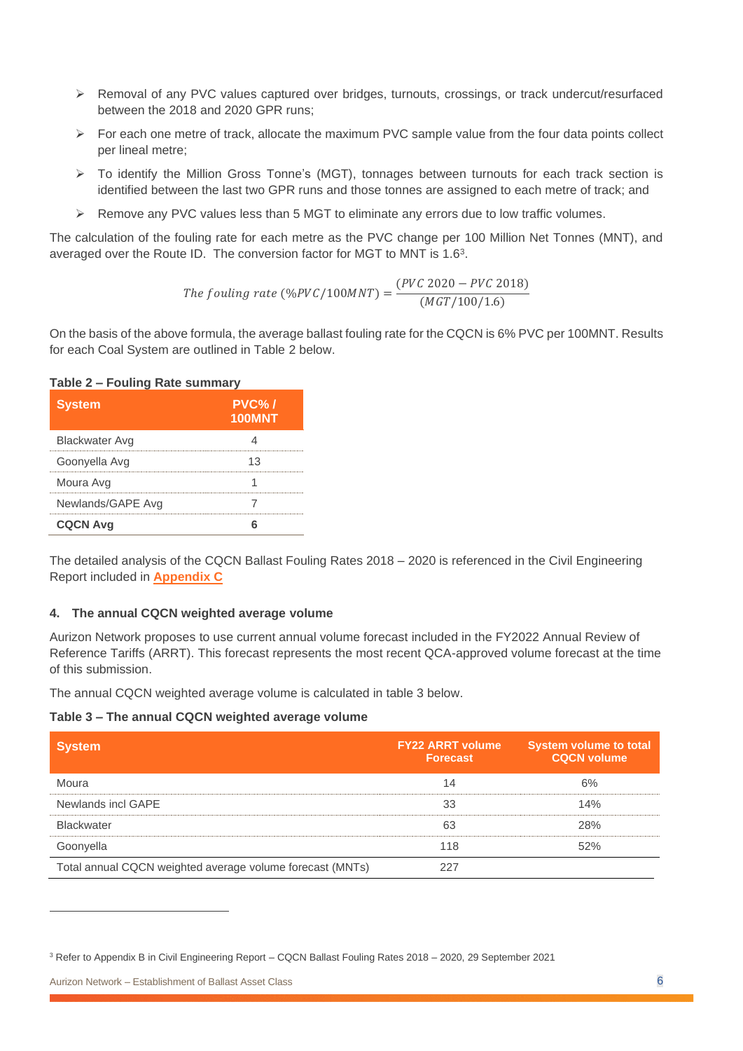- ➢ Removal of any PVC values captured over bridges, turnouts, crossings, or track undercut/resurfaced between the 2018 and 2020 GPR runs;
- $\triangleright$  For each one metre of track, allocate the maximum PVC sample value from the four data points collect per lineal metre;
- ➢ To identify the Million Gross Tonne's (MGT), tonnages between turnouts for each track section is identified between the last two GPR runs and those tonnes are assigned to each metre of track; and
- ➢ Remove any PVC values less than 5 MGT to eliminate any errors due to low traffic volumes.

The calculation of the fouling rate for each metre as the PVC change per 100 Million Net Tonnes (MNT), and averaged over the Route ID. The conversion factor for MGT to MNT is  $1.6<sup>3</sup>$ .

The *found rate* (*%PVC*/100*MNT*) = 
$$
\frac{(PVC\ 2020 - PVC\ 2018)}{(MGT/100/1.6)}
$$

On the basis of the above formula, the average ballast fouling rate for the CQCN is 6% PVC per 100MNT. Results for each Coal System are outlined in Table 2 below.

## **Table 2 – Fouling Rate summary**

| <b>System</b>     | $PVC\%$<br><b>100MNT</b> |
|-------------------|--------------------------|
| Blackwater Avg    |                          |
| Goonyella Avg     | 13                       |
| Moura Avg         |                          |
| Newlands/GAPE Avg |                          |
| <b>CQCN Avg</b>   |                          |

<span id="page-6-0"></span>The detailed analysis of the CQCN Ballast Fouling Rates 2018 – 2020 is referenced in the Civil Engineering Report included in **[Appendix](#page-9-2) C**

## **4. The annual CQCN weighted average volume**

Aurizon Network proposes to use current annual volume forecast included in the FY2022 Annual Review of Reference Tariffs (ARRT). This forecast represents the most recent QCA-approved volume forecast at the time of this submission.

The annual CQCN weighted average volume is calculated in table 3 below.

**Table 3 – The annual CQCN weighted average volume**

| <b>System</b>                                             | <b>FY22 ARRT volume</b><br><b>Forecast</b> | <b>System volume to total</b><br><b>CQCN volume</b> |
|-----------------------------------------------------------|--------------------------------------------|-----------------------------------------------------|
| Moura                                                     | 14                                         | 6%                                                  |
| Newlands incl GAPE                                        | 33                                         | 14%                                                 |
| <b>Blackwater</b>                                         | 63                                         | 28%                                                 |
| Goonyella                                                 | 118                                        | 52%                                                 |
| Total annual CQCN weighted average volume forecast (MNTs) | 227                                        |                                                     |

<sup>3</sup> Refer to Appendix B in Civil Engineering Report – CQCN Ballast Fouling Rates 2018 – 2020, 29 September 2021

Aurizon Network – Establishment of Ballast Asset Class 6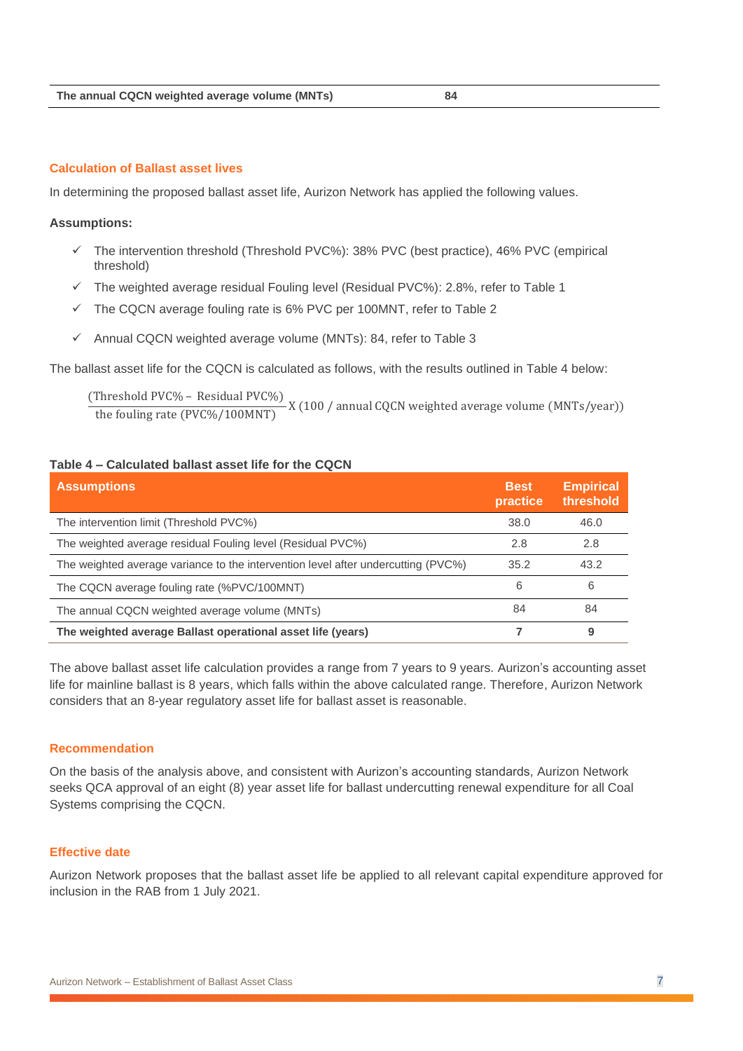### **Calculation of Ballast asset lives**

In determining the proposed ballast asset life, Aurizon Network has applied the following values.

#### **Assumptions:**

- $\checkmark$  The intervention threshold (Threshold PVC%): 38% PVC (best practice), 46% PVC (empirical threshold)
- $\checkmark$  The weighted average residual Fouling level (Residual PVC%): 2.8%, refer to Table 1
- ✓ The CQCN average fouling rate is 6% PVC per 100MNT, refer to Table 2
- ✓ Annual CQCN weighted average volume (MNTs): 84, refer to Table 3

The ballast asset life for the CQCN is calculated as follows, with the results outlined in Table 4 below:

(Threshold PVC% – Residual PVC%) the fouling rate (PVC%/100MNT) X (100 / annual CQCN weighted average volume (MNTs/year))

### **Table 4 – Calculated ballast asset life for the CQCN**

| <b>Assumptions</b>                                                                | <b>Best</b><br>practice | <b>Empirical</b><br>threshold |
|-----------------------------------------------------------------------------------|-------------------------|-------------------------------|
| The intervention limit (Threshold PVC%)                                           | 38.0                    | 46.0                          |
| The weighted average residual Fouling level (Residual PVC%)                       | 2.8                     | 2.8                           |
| The weighted average variance to the intervention level after undercutting (PVC%) | 35.2                    | 43.2                          |
| The CQCN average fouling rate (%PVC/100MNT)                                       | 6                       | 6                             |
| The annual CQCN weighted average volume (MNTs)                                    | 84                      | 84                            |
| The weighted average Ballast operational asset life (years)                       |                         | 9                             |

The above ballast asset life calculation provides a range from 7 years to 9 years. Aurizon's accounting asset life for mainline ballast is 8 years, which falls within the above calculated range. Therefore, Aurizon Network considers that an 8-year regulatory asset life for ballast asset is reasonable.

## **Recommendation**

On the basis of the analysis above, and consistent with Aurizon's accounting standards, Aurizon Network seeks QCA approval of an eight (8) year asset life for ballast undercutting renewal expenditure for all Coal Systems comprising the CQCN.

## **Effective date**

Aurizon Network proposes that the ballast asset life be applied to all relevant capital expenditure approved for inclusion in the RAB from 1 July 2021.